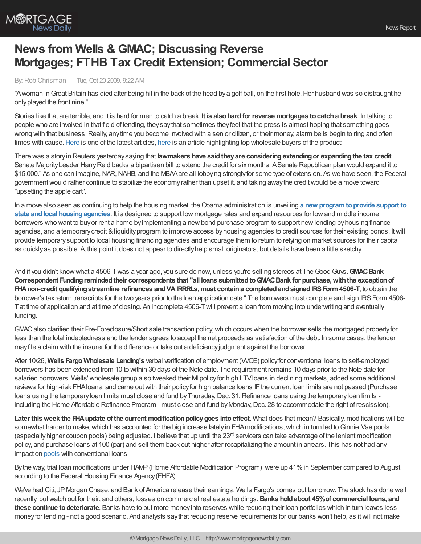

## **News from Wells & GMAC; Discussing Reverse Mortgages; FTHB Tax Credit Extension; Commercial Sector**

## By:Rob Chrisman | Tue, Oct 20 2009, 9:22 AM

"Awoman inGreat Britain has died after being hit in the back of the head bya golf ball, on the first hole.Her husband was so distraught he onlyplayed the front nine."

Stories like that are terrible, and it is hard for men to catch a break. **It is alsohardfor reverse mortgages tocatcha break**. In talking to people who are involved in that field of lending, theysaythat sometimes theyfeel that the press is almost hoping that something goes wrong with that business. Really, anytime you become involved with a senior citizen, or their money, alarm bells begin to ring and often times with cause. [Here](http://www.consumeraffairs.com/news04/2009/10/reverse_mortgage02.html) is one of the latest articles, here is an article highlighting top wholesale buyers of the product:

There was a storyin Reuters yesterdaysaying that **lawmakers have saidtheyare consideringextendingor expandingthe tax credit**. Senate Majority Leader Harry Reid backs a bipartisan bill to extend the credit for six months. A Senate Republican plan would expand it to \$15,000." As one can imagine,NAR,NAHB, and the MBAAare all lobbying stronglyfor some type of extension. As we have seen, the Federal governmentwould rather continue to stabilize the economyrather than upset it, and taking awaythe creditwould be a move toward "upsetting the apple cart".

In a move also seen as continuing to help the housing market, theObama administration is unveiling **a new [programtoprovide](http://www.mortgagenewsdaily.com/10202009_treasury_hud_announce_program_to_aid_hfas.asp) support to state andlocal housingagencies**. It is designed to support low mortgage rates and expand resources for lowand middle income borrowers who want to buyor rent a home byimplementing a newbond purchase program to support newlending byhousing finance agencies, and a temporarycredit &liquidityprogram to improve access byhousing agencies to credit sources for their existing bonds. Itwill provide temporarysupport to local housing financing agencies and encourage them to return to relying on market sources for their capital as quicklyas possible. At this point it does not appear to directlyhelp small originators, but details have been a little sketchy.

And if you didn't knowwhat a 4506-Twas a year ago, you sure do now, unless you're selling stereos at TheGoodGuys.**GMACBank Correspondent Fundingremindedtheir correspondents that "all loans submittedtoGMACBank for purchase,withthe exceptionof FHAnon-credit qualifyingstreamline refinances andVAIRRRLs,must containa completedandsignedIRSForm4506-T**, to obtain the borrower's tax return transcripts for the two years prior to the loan application date." The borrowers must complete and sign IRS Form 4506-Tat time of application and at time of closing. An incomplete 4506-Twill prevent a loan from moving into underwriting and eventually funding.

GMAC also clarified their Pre-Foreclosure/Short sale transaction policy, which occurs when the borrower sells the mortgaged property for less than the total indebtedness and the lender agrees to accept the net proceeds as satisfaction of the debt. In some cases, the lender mayfile a claim with the insurer for the difference or take out a deficiencyjudgment against the borrower.

After 10/26, **Wells FargoWholesale Lending's** verbal verification of employment (VVOE) policyfor conventional loans to self-employed borrowers has been extended from 10 to within 30 days of the Note date. The requirement remains 10 days prior to the Note date for salaried borrowers. Wells' wholesale group also tweaked their MI policy for high LTV loans in declining markets, added some additional reviews for high-risk FHA loans, and came out with their policy for high balance loans IF the current loan limits are not passed (Purchase loans using the temporary loan limits must close and fund by Thursday, Dec. 31. Refinance loans using the temporary loan limits including the Home Affordable Refinance Program - must close and fund by Monday, Dec. 28 to accommodate the right of rescission).

**Later** this week the **FHA** update of the current modification policy goes into effect. What does that mean? Basically, modifications will be somewhat harder to make, which has accounted for the big increase lately in FHA modifications, which in turn led to Ginnie Mae pools (especially higher coupon pools) being adjusted. I believe that up until the 23<sup>rd</sup> servicers can take advantage of the lenient modification policy, and purchase loans at 100 (par) and sell them back out higher after recapitalizing the amount in arrears. This has not had any impact on [pools](http://www.hud.gov/utilities/intercept.cfm?/offices/adm/hudclips/letters/mortgagee/files/09-35ml.doc) with conventional loans

By the way, trial loan modifications under HAMP (Home Affordable Modification Program) were up 41% in September compared to August according to the Federal Housing Finance Agency(FHFA).

We've had Citi, JPMorgan Chase, and Bank of America release their earnings. Wells Fargo's comes out tomorrow. The stock has done well recently, butwatch out for their, and others, losses on commercial real estate holdings.**Banks holdabout 45%of commercial loans, and these continue todeteriorate**. Banks have to put more moneyinto reserves while reducing their loan portfolios which in turn leaves less moneyfor lending - not a good scenario. And analysts saythat reducing reserve requirements for our banks won't help, as itwill not make